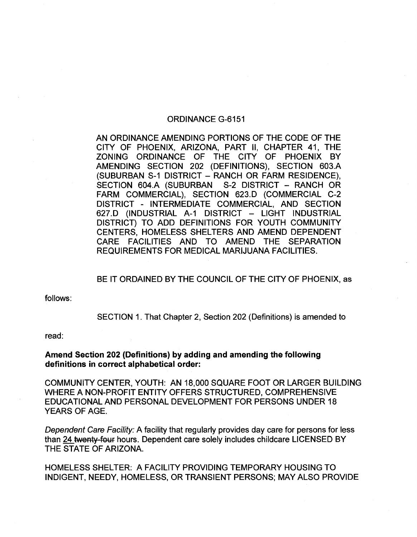### ORDINANCE G-6151

AN ORDINANCE AMENDING PORTIONS OF THE CODE OF THE CITY OF PHOENIX, ARIZONA, PART II, CHAPTER 41, THE ZONING ORDINANCE OF THE CITY OF PHOENIX BY AMENDING SECTION 202 (DEFINITIONS), SECTION 603.A (SUBURBAN S-1 DISTRICT - RANCH OR FARM RESIDENCE), SECTION 604.A (SUBURBAN S-2 DISTRICT - RANCH OR FARM COMMERCIAL), SECTION 623.D (COMMERCIAL C-2 DISTRICT - INTERMEDIATE COMMERCIAL, AND SECTION 627.D (INDUSTRIAL A-1 DISTRICT - LIGHT INDUSTRIAL DISTRICT) TO ADD DEFINITIONS FOR YOUTH COMMUNITY CENTERS, HOMELESS SHELTERS AND AMEND DEPENDENT CARE FACILITIES AND TO AMEND THE SEPARATION REQUIREMENTS FOR MEDICAL MARIJUANA FACILITIES.

## BE IT ORDAINED BY THE COUNCIL OF THE CITY OF PHOENIX, as

follows:

SECTION 1. That Chapter 2, Section 202 (Definitions) is amended to

read:

### Amend Section 202 (Definitions) by adding and amending the following definitions in correct alphabetical order:

COMMUNITY CENTER, YOUTH: AN 18,000 SQUARE FOOT OR LARGER BUILDING WHERE A NON-PROFIT ENTITY OFFERS STRUCTURED, COMPREHENSIVE EDUCATIONAL AND PERSONAL DEVELOPMENT FOR PERSONS UNDER 18 YEARS OF AGE.

Dependent Care Facility: A facility that regularly provides day care for persons for less than 24 twenty four hours. Dependent care solely includes childcare LICENSED BY THE STATE OF ARIZONA.

HOMELESS SHELTER: A FACILITY PROVIDING TEMPORARY HOUSING TO INDIGENT, NEEDY, HOMELESS, OR TRANSIENT PERSONS; MAY ALSO PROVIDE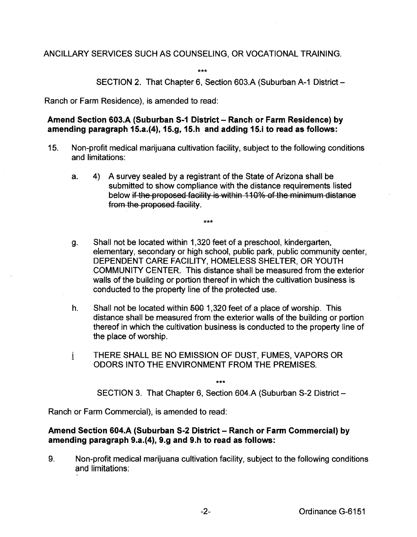# ANCILLARY SERVICES SUCH AS COUNSELING, OR VOCATIONAL TRAINING.

\*\*\*

SECTION 2. That Chapter 6, Section 603.A (Suburban A-1 District-

Ranch or Farm Residence), is amended to read:

Amend Section 603.A (Suburban S-1 District - Ranch or Farm Residence) by amending paragraph 15.a.(4), 15.g, 15.h and adding 15.i to read as follows:

- 15. Non-profit medical marijuana cultivation facility, subject to the following conditions and limitations:
	- a. 4) A survey sealed by a registrant of the State of Arizona shall be submitted to show compliance with the distance requirements listed below if the proposed facility is within 110% of the minimum distance from the proposed facility.

\*\*\*

- g. Shall not be located within 1,320 feet of a preschool, kindergarten, elementary, secondary or high school, public park, public community center, DEPENDENT CARE FACILITY, HOMELESS SHELTER, OR YOUTH COMMUNITY CENTER. This distance shall be measured from the exterior walls of the building or portion thereof in which the cultivation business is conducted to the property line of the protected use.
- h. Shall not be located within 500 1,320 feet of a place of worship. This distance shall be measured from the exterior walls of the building or portion thereof in which the cultivation business is conducted to the property line of the place of worship.
- i THERE SHALL BE NO EMISSION OF DUST, FUMES, VAPORS OR ODORS INTO THE ENVIRONMENT FROM THE PREMISES.

\*\*\*

SECTION 3. That Chapter 6, Section 604.A (Suburban S-2 District-

Ranch or Farm Commercial), is amended to read:

## Amend Section 604.A (Suburban S-2 District- Ranch or Farm Commercial) by amending paragraph 9.a.(4), 9.g and 9.h to read as follows:

9. Non-profit medical marijuana cultivation facility, subject to the following conditions and limitations: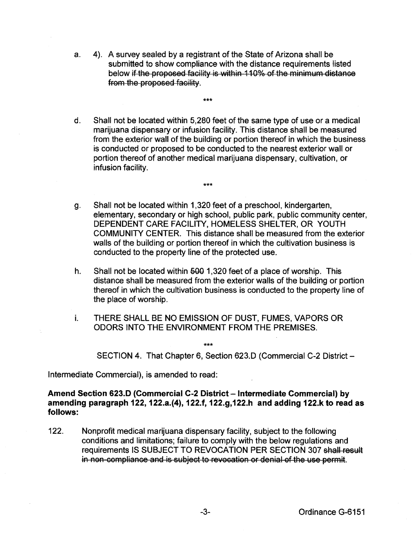a. 4). A survey sealed by a registrant of the State of Arizona shall be submitted to show compliance with the distance requirements listed below if the proposed facility is within 110% of the minimum distance from the proposed facility.

\*\*\*

\*\*\*

- d. Shall not be located within 5,280 feet of the same type of use or a medical marijuana dispensary or infusion facility. This distance shall be measured from the exterior wall of the building or portion thereof in which the business is conducted or proposed to be conducted to the nearest exterior wall or portion thereof of another medical marijuana dispensary, cultivation, or infusion facility.
- g. Shall not be located within 1,320 feet of a preschool, kindergarten, elementary, secondary or high school, public park, public community center, DEPENDENT CARE FACILITY, HOMELESS SHELTER, OR YOUTH COMMUNITY CENTER. This distance shall be measured from the exterior walls of the building or portion thereof in which the cultivation business is conducted to the property line of the protected use.
- h. Shall not be located within  $\frac{1}{2}99$  1,320 feet of a place of worship. This distance shall be measured from the exterior walls of the building or portion thereof in which the cultivation business is conducted to the property line of the place of worship.
- i. THERE SHALL BE NO EMISSION OF DUST, FUMES, VAPORS OR ODORS INTO THE ENVIRONMENT FROM THE PREMISES.

\*\*\*

SECTION 4. That Chapter 6, Section 623.D (Commercial C-2 District -

Intermediate Commercial), is amended to read:

## Amend Section 623.0 (Commercial C-2 District- Intermediate Commercial) by amending paragraph 122, 122.a.(4), 122.f, 122.g,122.h and adding 122.k to read as follows:

122. Nonprofit medical marijuana dispensary facility, subject to the following conditions and limitations; failure to comply with the below regulations and requirements IS SUBJECT TO REVOCATION PER SECTION 307 shall result in non-compliance and is subject to revocation or denial of the use permit.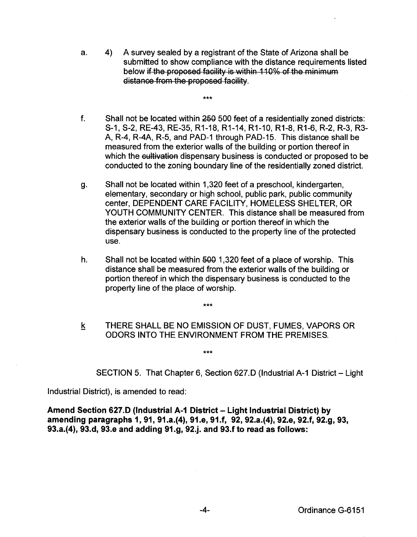a. 4) A survey sealed by a registrant of the State of Arizona shall be submitted to show compliance with the distance requirements listed below if the proposed facility is within 110% of the minimum distance from the proposed facility.

\*\*\*

- f. Shall not be located within 250 500 feet of a residentially zoned districts: S-1, S-2, RE-43, RE-35, R1-18, R1-14, R1-10, R1-8, R1-6, R-2, R-3, R3- A, R-4, R-4A, R-5, and PAD-1 through PAD-15. This distance shall be measured from the exterior walls of the building or portion thereof in which the cultivation dispensary business is conducted or proposed to be conducted to the zoning boundary line of the residentially zoned district.
- g. Shall not be located within 1 ,320 feet of a preschool, kindergarten, elementary, secondary or high school, public park, public community center, DEPENDENT CARE FACILITY, HOMELESS SHELTER, OR YOUTH COMMUNITY CENTER. This distance shall be measured from the exterior walls of the building or portion thereof in which the dispensary business is conducted to the property line of the protected use.
- h. Shall not be located within  $\frac{500}{1,320}$  feet of a place of worship. This distance shall be measured from the exterior walls of the building or portion thereof in which the dispensary business is conducted to the property line of the place of worship.
- k THERE SHALL BE NO EMISSION OF DUST, FUMES, VAPORS OR ODORS INTO THE ENVIRONMENT FROM THE PREMISES.

\*\*\*

\*\*\*

SECTION 5. That Chapter 6, Section 627.D (Industrial A-1 District- Light

Industrial District), is amended to read:

Amend Section 627.D (Industrial A-1 District- Light Industrial District) by amending paragraphs 1, 91, 91.a.(4), 91.e, 91.f, 92, 92.a.(4), 92.e, 92.f, 92.g, 93, 93.a.(4), 93.d, 93.e and adding 91.g, 92.j. and 93.f to read as follows: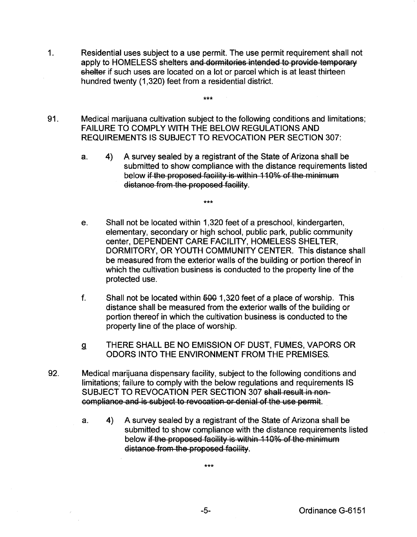- 1. Residential uses subject to a use permit. The use permit requirement shall not apply to HOMELESS shelters and dormitories intended to provide temporary shelter if such uses are located on a lot or parcel which is at least thirteen hundred twenty (1,320) feet from a residential district.
- 91. Medical marijuana cultivation subject to the following conditions and limitations; FAILURE TO COMPLY WITH THE BELOW REGULATIONS AND REQUIREMENTS IS SUBJECT TO REVOCATION PER SECTION 307:

\*\*\*

\*\*\*

- a. 4) A survey sealed by a registrant of the State of Arizona shall be submitted to show compliance with the distance requirements listed below if the proposed facility is within 110% of the minimum distance from the proposed facility.
- e. Shall not be located within 1 ,320 feet of a preschool, kindergarten, elementary, secondary or high school, public park, public community center, DEPENDENT CARE FACILITY, HOMELESS SHELTER, DORMITORY, OR YOUTH COMMUNITY CENTER. This distance shall be measured from the exterior walls of the building or portion thereof in which the cultivation business is conducted to the property line of the protected use.
- f. Shall not be located within  $\frac{600}{1,320}$  feet of a place of worship. This distance shall be measured from the exterior walls of the building or portion thereof in which the cultivation business is conducted to the property line of the place of worship.
- g THERE SHALL BE NO EMISSION OF DUST, FUMES, VAPORS OR ODORS INTO THE ENVIRONMENT FROM THE PREMISES.
- 92. Medical marijuana dispensary facility, subject to the following conditions and limitations; failure to comply with the below regulations and requirements IS SUBJECT TO REVOCATION PER SECTION 307 shall result in non compliance and is subject to revocation or denial of the use permit.
	- a. 4) A survey sealed by a registrant of the State of Arizona shall be submitted to show compliance with the distance requirements listed below if the proposed facility is within 110% of the minimum distance from the proposed facility.

\*\*\*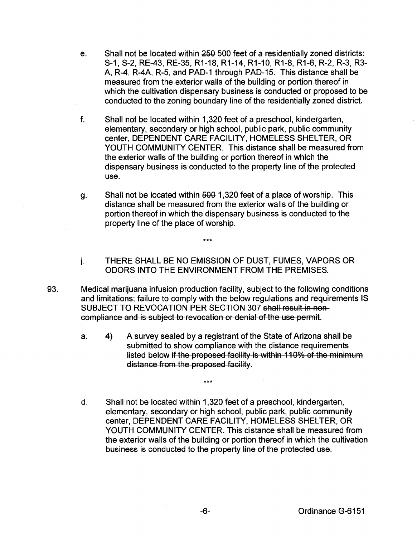- e. Shall not be located within 250 500 feet of a residentially zoned districts: S-1, S-2, RE-43, RE-35, R1-18, R1-14, R1-10, R1-8, R1-6, R-2, R-3, R3- A, R-4, R-4A, R-5, and PAD-1 through PAD-15. This distance shall be measured from the exterior walls of the building or portion thereof in which the cultivation dispensary business is conducted or proposed to be conducted to the zoning boundary line of the residentially zoned district.
- f. Shall not be located within 1 ,320 feet of a preschool, kindergarten, elementary, secondary or high school, public park, public community center, DEPENDENT CARE FACILITY, HOMELESS SHELTER, OR YOUTH COMMUNITY CENTER. This distance shall be measured from the exterior walls of the building or portion thereof in which the dispensary business is conducted to the property line of the protected use.
- g. Shall not be located within 500 1,320 feet of a place of worship. This distance shall be measured from the exterior walls of the building or portion thereof in which the dispensary business is conducted to the property line of the place of worship.
- j. THERE SHALL BE NO EMISSION OF DUST, FUMES, VAPORS OR ODORS INTO THE ENVIRONMENT FROM THE PREMISES.
- 93. Medical marijuana infusion production facility, subject to the following conditions and limitations; failure to comply with the below regulations and requirements IS SUBJECT TO REVOCATION PER SECTION 307 shall result in non compliance and is subject to revocation or denial of the use permit.

\*\*\*

\*\*\*

- a. 4) A survey sealed by a registrant of the State of Arizona shall be submitted to show compliance with the distance requirements listed below if the proposed facility is within 110% of the minimum distance from the proposed facility.
- d. Shall not be located within 1,320 feet of a preschool, kindergarten, elementary, secondary or high school, public park, public community center, DEPENDENT CARE FACILITY, HOMELESS SHELTER, OR YOUTH COMMUNITY CENTER. This distance shall be measured from the exterior walls of the building or portion thereof in which the cultivation business is conducted to the property line of the protected use.